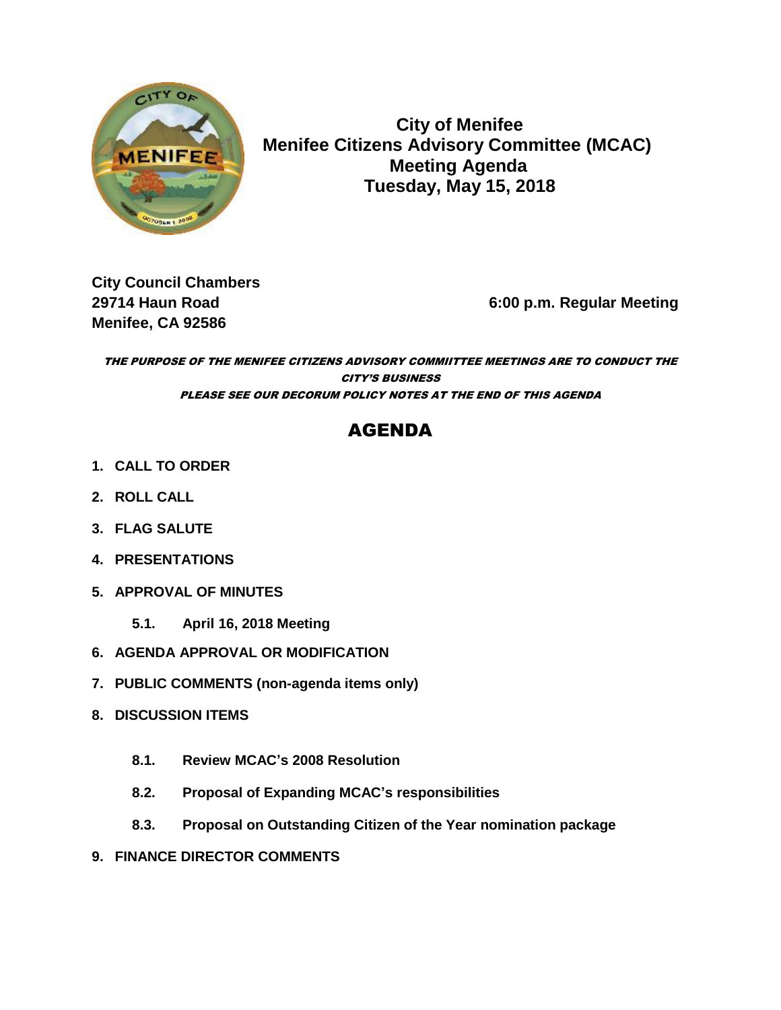

 **City of Menifee MENIFEE Menifee Citizens Advisory Committee (MCAC) Meeting Agenda Tuesday, May 15, 2018**

**City Council Chambers Menifee, CA 92586** 

**29714 Haun Road 6:00 p.m. Regular Meeting**

THE PURPOSE OF THE MENIFEE CITIZENS ADVISORY COMMIITTEE MEETINGS ARE TO CONDUCT THE CITY'S BUSINESS PLEASE SEE OUR DECORUM POLICY NOTES AT THE END OF THIS AGENDA

# AGENDA

- **1. CALL TO ORDER**
- **2. ROLL CALL**
- **3. FLAG SALUTE**
- **4. PRESENTATIONS**
- **5. APPROVAL OF MINUTES**
	- **5.1. April 16, 2018 Meeting**
- **6. AGENDA APPROVAL OR MODIFICATION**
- **7. PUBLIC COMMENTS (non-agenda items only)**
- **8. DISCUSSION ITEMS**
	- **8.1. Review MCAC's 2008 Resolution**
	- **8.2. Proposal of Expanding MCAC's responsibilities**
	- **8.3. Proposal on Outstanding Citizen of the Year nomination package**
- **9. FINANCE DIRECTOR COMMENTS**